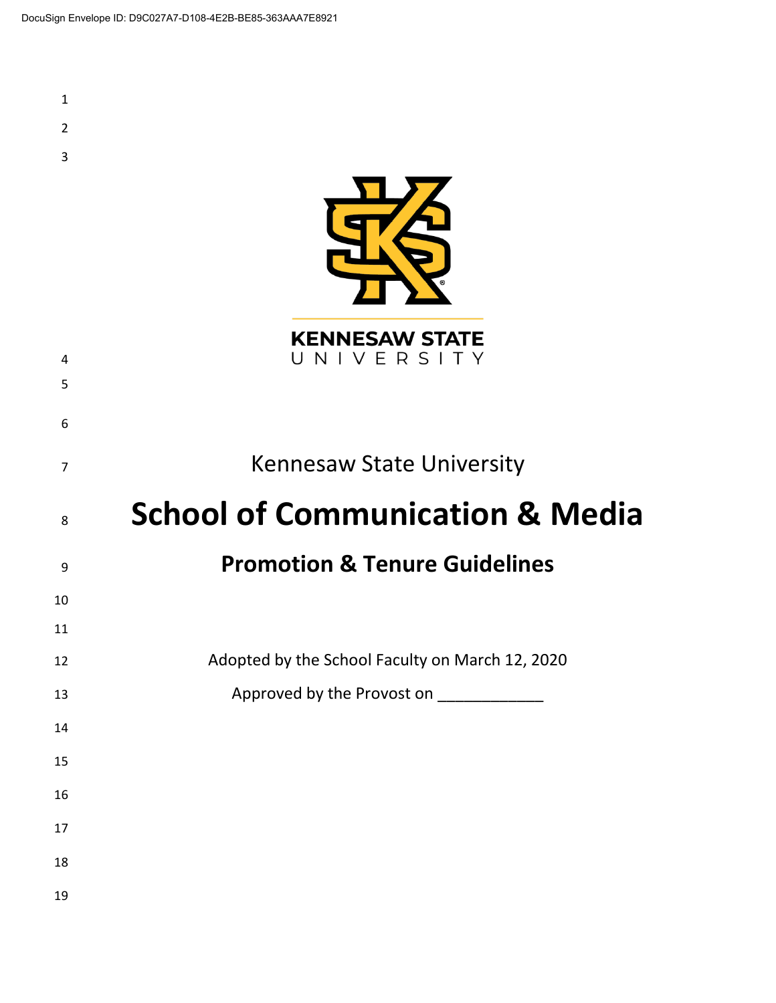| $\mathbf{1}$   |                                                 |
|----------------|-------------------------------------------------|
| $\overline{2}$ |                                                 |
| 3              |                                                 |
|                |                                                 |
|                |                                                 |
|                |                                                 |
|                |                                                 |
|                | <b>KENNESAW STATE</b>                           |
| 4              | UNIVERSITY                                      |
| 5              |                                                 |
| 6              |                                                 |
| $\overline{7}$ | <b>Kennesaw State University</b>                |
|                |                                                 |
| 8              | <b>School of Communication &amp; Media</b>      |
| 9              | <b>Promotion &amp; Tenure Guidelines</b>        |
| 10             |                                                 |
| 11             |                                                 |
| 12             | Adopted by the School Faculty on March 12, 2020 |
| 13             | Approved by the Provost on ____________         |
| $14\,$         |                                                 |
| 15             |                                                 |
| 16             |                                                 |
| $17\,$         |                                                 |
| 18             |                                                 |
|                |                                                 |
| 19             |                                                 |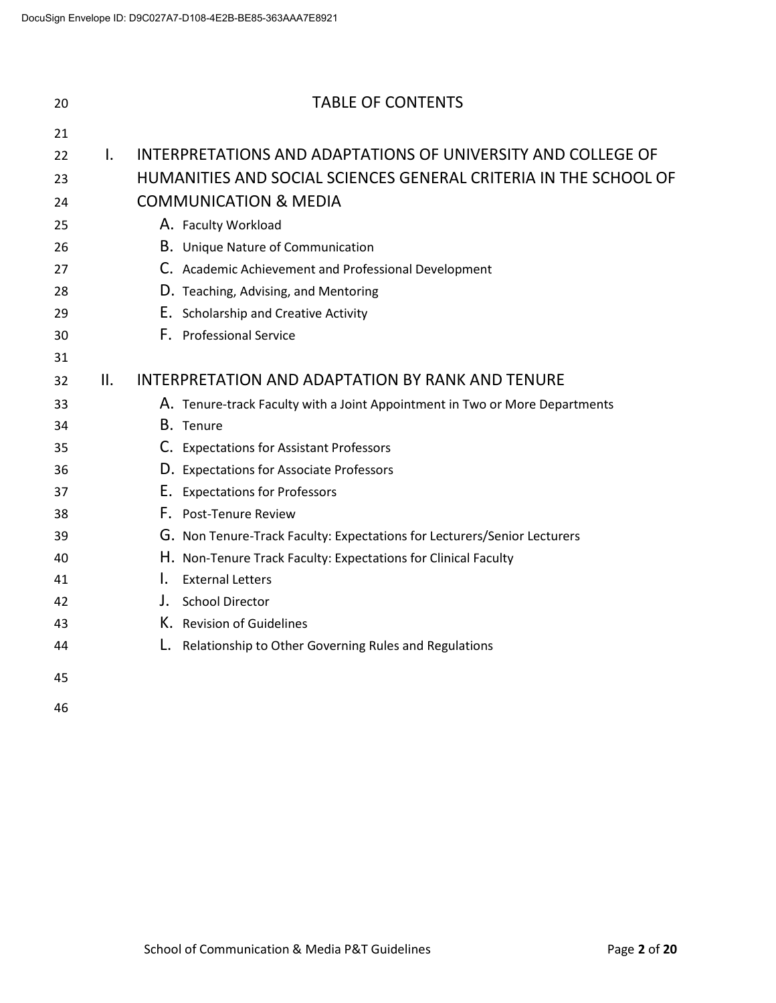| 20 |              | <b>TABLE OF CONTENTS</b>                                                    |
|----|--------------|-----------------------------------------------------------------------------|
| 21 |              |                                                                             |
| 22 | $\mathbf{L}$ | INTERPRETATIONS AND ADAPTATIONS OF UNIVERSITY AND COLLEGE OF                |
| 23 |              | HUMANITIES AND SOCIAL SCIENCES GENERAL CRITERIA IN THE SCHOOL OF            |
| 24 |              | <b>COMMUNICATION &amp; MEDIA</b>                                            |
| 25 |              | A. Faculty Workload                                                         |
| 26 |              | B. Unique Nature of Communication                                           |
| 27 |              | C. Academic Achievement and Professional Development                        |
| 28 |              | D. Teaching, Advising, and Mentoring                                        |
| 29 |              | E. Scholarship and Creative Activity                                        |
| 30 |              | F. Professional Service                                                     |
| 31 |              |                                                                             |
| 32 | II.          | INTERPRETATION AND ADAPTATION BY RANK AND TENURE                            |
| 33 |              | A. Tenure-track Faculty with a Joint Appointment in Two or More Departments |
| 34 |              | B. Tenure                                                                   |
| 35 |              | C. Expectations for Assistant Professors                                    |
| 36 |              | D. Expectations for Associate Professors                                    |
| 37 |              | E. Expectations for Professors                                              |
| 38 |              | F. Post-Tenure Review                                                       |
| 39 |              | G. Non Tenure-Track Faculty: Expectations for Lecturers/Senior Lecturers    |
| 40 |              | H. Non-Tenure Track Faculty: Expectations for Clinical Faculty              |
| 41 |              | L.<br><b>External Letters</b>                                               |
| 42 |              | <b>School Director</b><br>J.                                                |
| 43 |              | K. Revision of Guidelines                                                   |
| 44 |              | L.<br>Relationship to Other Governing Rules and Regulations                 |
| 45 |              |                                                                             |
| 46 |              |                                                                             |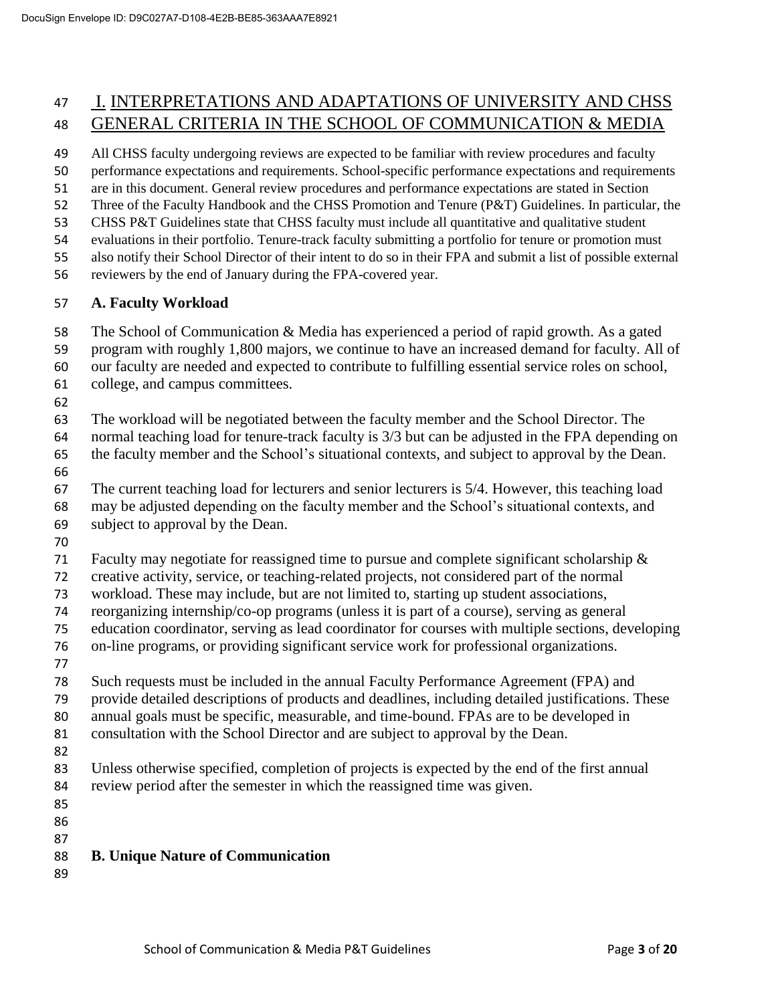# I. INTERPRETATIONS AND ADAPTATIONS OF UNIVERSITY AND CHSS GENERAL CRITERIA IN THE SCHOOL OF COMMUNICATION & MEDIA

All CHSS faculty undergoing reviews are expected to be familiar with review procedures and faculty

performance expectations and requirements. School-specific performance expectations and requirements

- are in this document. General review procedures and performance expectations are stated in Section
- Three of the Faculty Handbook and the CHSS Promotion and Tenure (P&T) Guidelines. In particular, the
- CHSS P&T Guidelines state that CHSS faculty must include all quantitative and qualitative student
- evaluations in their portfolio. Tenure-track faculty submitting a portfolio for tenure or promotion must
- also notify their School Director of their intent to do so in their FPA and submit a list of possible external
- reviewers by the end of January during the FPA-covered year.

#### **A. Faculty Workload**

- The School of Communication & Media has experienced a period of rapid growth. As a gated
- program with roughly 1,800 majors, we continue to have an increased demand for faculty. All of
- our faculty are needed and expected to contribute to fulfilling essential service roles on school,
- college, and campus committees.
- 

The workload will be negotiated between the faculty member and the School Director. The

- normal teaching load for tenure-track faculty is 3/3 but can be adjusted in the FPA depending on
- the faculty member and the School's situational contexts, and subject to approval by the Dean.
- 

 The current teaching load for lecturers and senior lecturers is 5/4. However, this teaching load may be adjusted depending on the faculty member and the School's situational contexts, and

- subject to approval by the Dean.
- 

Faculty may negotiate for reassigned time to pursue and complete significant scholarship &

creative activity, service, or teaching-related projects, not considered part of the normal

- workload. These may include, but are not limited to, starting up student associations,
- reorganizing internship/co-op programs (unless it is part of a course), serving as general
- education coordinator, serving as lead coordinator for courses with multiple sections, developing
- on-line programs, or providing significant service work for professional organizations.
- Such requests must be included in the annual Faculty Performance Agreement (FPA) and
- provide detailed descriptions of products and deadlines, including detailed justifications. These
- annual goals must be specific, measurable, and time-bound. FPAs are to be developed in
- consultation with the School Director and are subject to approval by the Dean.
- 
- Unless otherwise specified, completion of projects is expected by the end of the first annual review period after the semester in which the reassigned time was given.
- 
- 
- 

## **B. Unique Nature of Communication**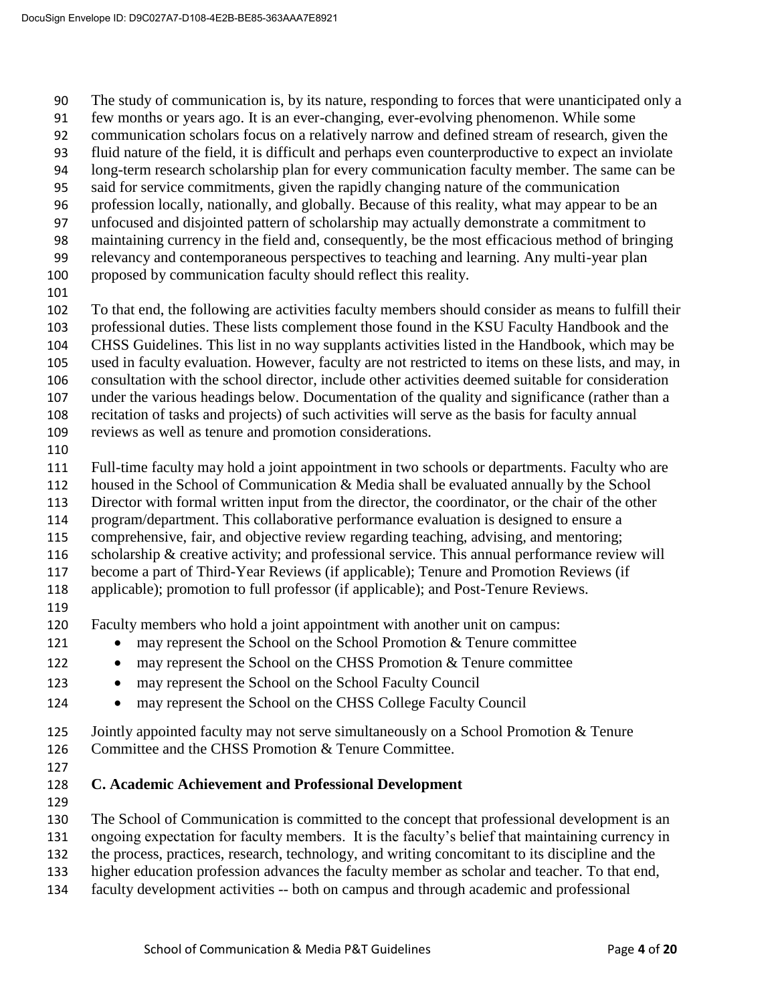The study of communication is, by its nature, responding to forces that were unanticipated only a

- few months or years ago. It is an ever-changing, ever-evolving phenomenon. While some
- communication scholars focus on a relatively narrow and defined stream of research, given the
- fluid nature of the field, it is difficult and perhaps even counterproductive to expect an inviolate
- long-term research scholarship plan for every communication faculty member. The same can be
- said for service commitments, given the rapidly changing nature of the communication
- profession locally, nationally, and globally. Because of this reality, what may appear to be an
- unfocused and disjointed pattern of scholarship may actually demonstrate a commitment to
- maintaining currency in the field and, consequently, be the most efficacious method of bringing
- relevancy and contemporaneous perspectives to teaching and learning. Any multi-year plan
- proposed by communication faculty should reflect this reality.
- 

 To that end, the following are activities faculty members should consider as means to fulfill their professional duties. These lists complement those found in the KSU Faculty Handbook and the CHSS Guidelines. This list in no way supplants activities listed in the Handbook, which may be used in faculty evaluation. However, faculty are not restricted to items on these lists, and may, in

- consultation with the school director, include other activities deemed suitable for consideration
- under the various headings below. Documentation of the quality and significance (rather than a
- recitation of tasks and projects) of such activities will serve as the basis for faculty annual
- reviews as well as tenure and promotion considerations.
- 

Full-time faculty may hold a joint appointment in two schools or departments. Faculty who are

- housed in the School of Communication & Media shall be evaluated annually by the School
- Director with formal written input from the director, the coordinator, or the chair of the other
- program/department. This collaborative performance evaluation is designed to ensure a
- comprehensive, fair, and objective review regarding teaching, advising, and mentoring;
- scholarship & creative activity; and professional service. This annual performance review will
- become a part of Third-Year Reviews (if applicable); Tenure and Promotion Reviews (if applicable); promotion to full professor (if applicable); and Post-Tenure Reviews.
- 
- Faculty members who hold a joint appointment with another unit on campus:
- 121 may represent the School on the School Promotion & Tenure committee
- 122 may represent the School on the CHSS Promotion & Tenure committee
- 123 may represent the School on the School Faculty Council
- 124 may represent the School on the CHSS College Faculty Council
- 125 Jointly appointed faculty may not serve simultaneously on a School Promotion & Tenure
- Committee and the CHSS Promotion & Tenure Committee.
- 
- **C. Academic Achievement and Professional Development**
- 
- The School of Communication is committed to the concept that professional development is an
- ongoing expectation for faculty members. It is the faculty's belief that maintaining currency in
- the process, practices, research, technology, and writing concomitant to its discipline and the
- higher education profession advances the faculty member as scholar and teacher. To that end,
- faculty development activities -- both on campus and through academic and professional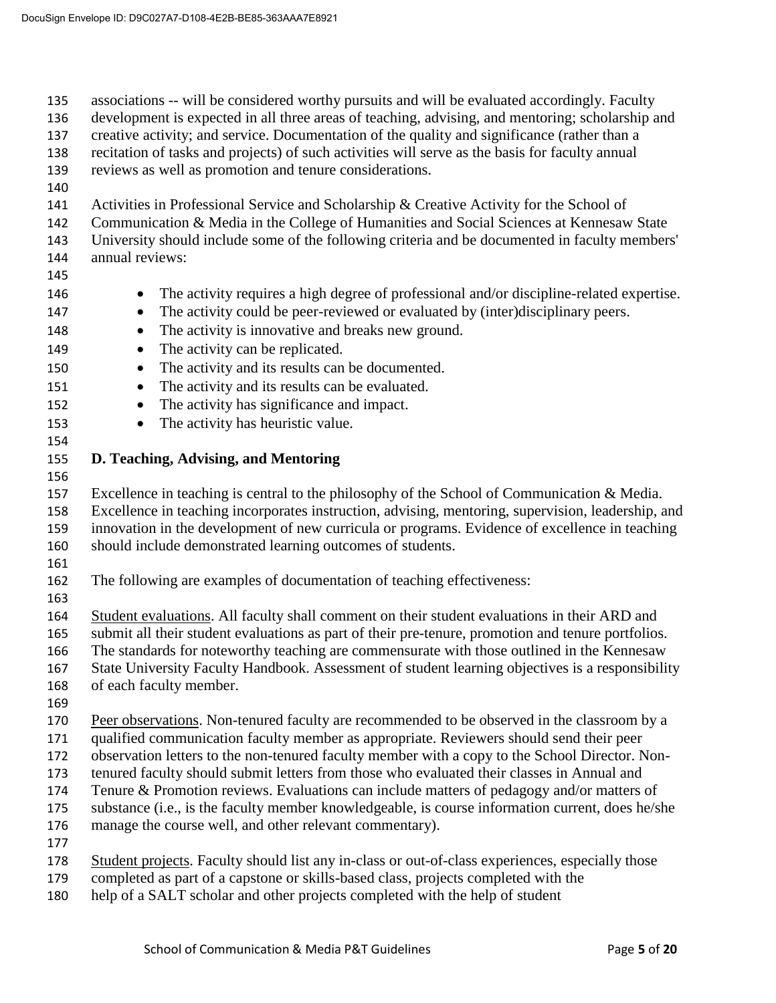associations -- will be considered worthy pursuits and will be evaluated accordingly. Faculty development is expected in all three areas of teaching, advising, and mentoring; scholarship and creative activity; and service. Documentation of the quality and significance (rather than a recitation of tasks and projects) of such activities will serve as the basis for faculty annual reviews as well as promotion and tenure considerations. Activities in Professional Service and Scholarship & Creative Activity for the School of Communication & Media in the College of Humanities and Social Sciences at Kennesaw State University should include some of the following criteria and be documented in faculty members' annual reviews: 146 • The activity requires a high degree of professional and/or discipline-related expertise. 147 • The activity could be peer-reviewed or evaluated by (inter)disciplinary peers. 148 • The activity is innovative and breaks new ground. 149 • The activity can be replicated. 150 • The activity and its results can be documented. 151 • The activity and its results can be evaluated. 152 • The activity has significance and impact. 153 • The activity has heuristic value. **D. Teaching, Advising, and Mentoring**  Excellence in teaching is central to the philosophy of the School of Communication & Media. Excellence in teaching incorporates instruction, advising, mentoring, supervision, leadership, and innovation in the development of new curricula or programs. Evidence of excellence in teaching should include demonstrated learning outcomes of students. The following are examples of documentation of teaching effectiveness: Student evaluations. All faculty shall comment on their student evaluations in their ARD and submit all their student evaluations as part of their pre-tenure, promotion and tenure portfolios. The standards for noteworthy teaching are commensurate with those outlined in the Kennesaw State University Faculty Handbook. Assessment of student learning objectives is a responsibility of each faculty member. Peer observations. Non-tenured faculty are recommended to be observed in the classroom by a qualified communication faculty member as appropriate. Reviewers should send their peer observation letters to the non-tenured faculty member with a copy to the School Director. Non- tenured faculty should submit letters from those who evaluated their classes in Annual and Tenure & Promotion reviews. Evaluations can include matters of pedagogy and/or matters of substance (i.e., is the faculty member knowledgeable, is course information current, does he/she manage the course well, and other relevant commentary). Student projects. Faculty should list any in-class or out-of-class experiences, especially those completed as part of a capstone or skills-based class, projects completed with the help of a SALT scholar and other projects completed with the help of student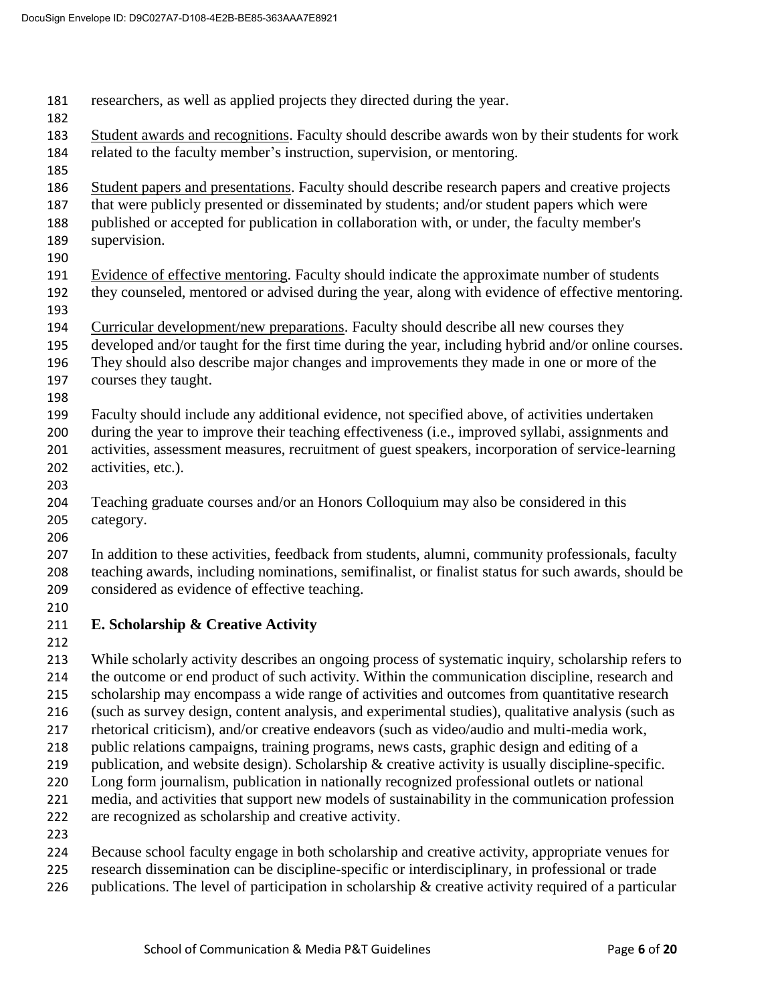researchers, as well as applied projects they directed during the year. Student awards and recognitions. Faculty should describe awards won by their students for work related to the faculty member's instruction, supervision, or mentoring. 186 Student papers and presentations. Faculty should describe research papers and creative projects that were publicly presented or disseminated by students; and/or student papers which were published or accepted for publication in collaboration with, or under, the faculty member's supervision. Evidence of effective mentoring. Faculty should indicate the approximate number of students they counseled, mentored or advised during the year, along with evidence of effective mentoring. Curricular development/new preparations. Faculty should describe all new courses they developed and/or taught for the first time during the year, including hybrid and/or online courses. They should also describe major changes and improvements they made in one or more of the courses they taught. Faculty should include any additional evidence, not specified above, of activities undertaken during the year to improve their teaching effectiveness (i.e., improved syllabi, assignments and activities, assessment measures, recruitment of guest speakers, incorporation of service-learning activities, etc.). Teaching graduate courses and/or an Honors Colloquium may also be considered in this category. In addition to these activities, feedback from students, alumni, community professionals, faculty teaching awards, including nominations, semifinalist, or finalist status for such awards, should be considered as evidence of effective teaching. **E. Scholarship & Creative Activity**  While scholarly activity describes an ongoing process of systematic inquiry, scholarship refers to the outcome or end product of such activity. Within the communication discipline, research and scholarship may encompass a wide range of activities and outcomes from quantitative research (such as survey design, content analysis, and experimental studies), qualitative analysis (such as rhetorical criticism), and/or creative endeavors (such as video/audio and multi-media work, public relations campaigns, training programs, news casts, graphic design and editing of a 219 publication, and website design). Scholarship & creative activity is usually discipline-specific. Long form journalism, publication in nationally recognized professional outlets or national media, and activities that support new models of sustainability in the communication profession are recognized as scholarship and creative activity. Because school faculty engage in both scholarship and creative activity, appropriate venues for research dissemination can be discipline-specific or interdisciplinary, in professional or trade

226 publications. The level of participation in scholarship  $\&$  creative activity required of a particular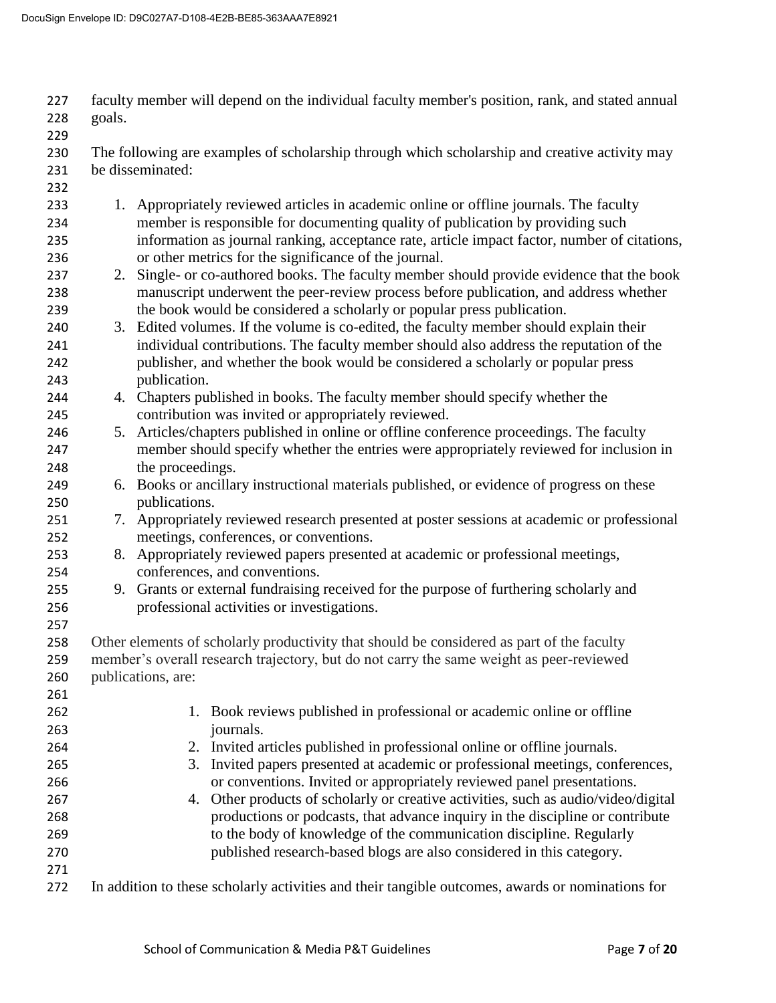faculty member will depend on the individual faculty member's position, rank, and stated annual goals. The following are examples of scholarship through which scholarship and creative activity may be disseminated: 1. Appropriately reviewed articles in academic online or offline journals. The faculty member is responsible for documenting quality of publication by providing such information as journal ranking, acceptance rate, article impact factor, number of citations, or other metrics for the significance of the journal. 237 2. Single- or co-authored books. The faculty member should provide evidence that the book manuscript underwent the peer-review process before publication, and address whether the book would be considered a scholarly or popular press publication. 3. Edited volumes. If the volume is co-edited, the faculty member should explain their individual contributions. The faculty member should also address the reputation of the publisher, and whether the book would be considered a scholarly or popular press publication. 4. Chapters published in books. The faculty member should specify whether the contribution was invited or appropriately reviewed. 5. Articles/chapters published in online or offline conference proceedings. The faculty member should specify whether the entries were appropriately reviewed for inclusion in the proceedings. 6. Books or ancillary instructional materials published, or evidence of progress on these publications. 7. Appropriately reviewed research presented at poster sessions at academic or professional meetings, conferences, or conventions. 8. Appropriately reviewed papers presented at academic or professional meetings, conferences, and conventions. 9. Grants or external fundraising received for the purpose of furthering scholarly and professional activities or investigations. Other elements of scholarly productivity that should be considered as part of the faculty member's overall research trajectory, but do not carry the same weight as peer-reviewed publications, are: 1. Book reviews published in professional or academic online or offline journals. 2. Invited articles published in professional online or offline journals. 3. Invited papers presented at academic or professional meetings, conferences, or conventions. Invited or appropriately reviewed panel presentations. 4. Other products of scholarly or creative activities, such as audio/video/digital productions or podcasts, that advance inquiry in the discipline or contribute to the body of knowledge of the communication discipline. Regularly published research-based blogs are also considered in this category. In addition to these scholarly activities and their tangible outcomes, awards or nominations for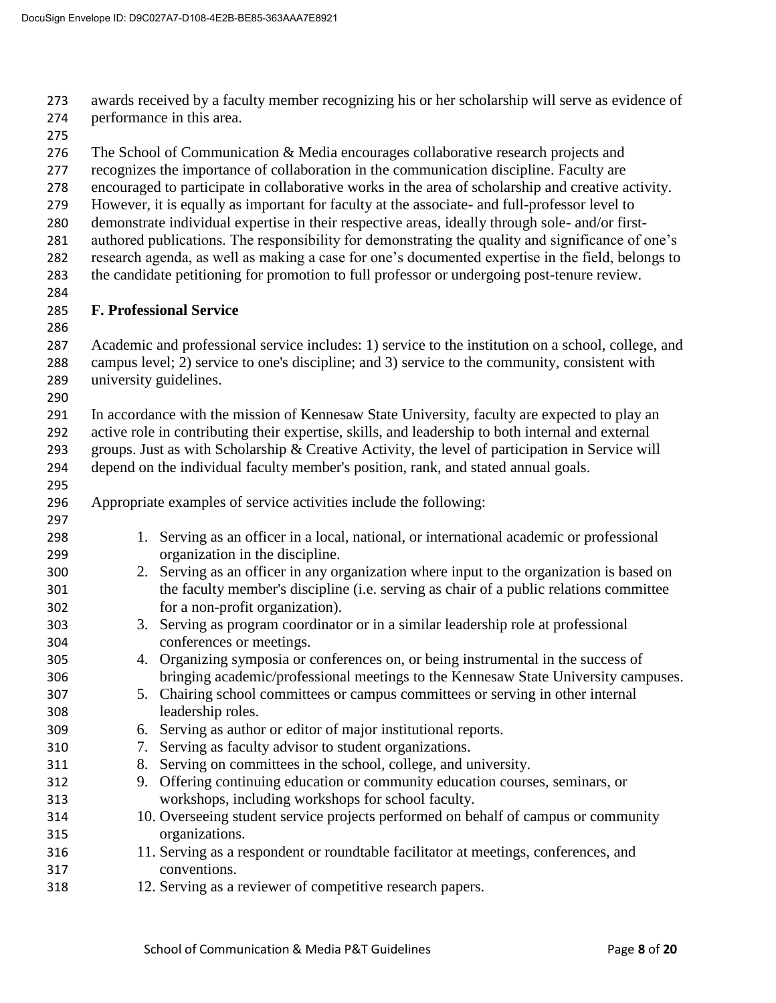awards received by a faculty member recognizing his or her scholarship will serve as evidence of

- performance in this area.
- 
- The School of Communication & Media encourages collaborative research projects and
- recognizes the importance of collaboration in the communication discipline. Faculty are
- encouraged to participate in collaborative works in the area of scholarship and creative activity.
- However, it is equally as important for faculty at the associate- and full-professor level to
- demonstrate individual expertise in their respective areas, ideally through sole- and/or first-
- authored publications. The responsibility for demonstrating the quality and significance of one's research agenda, as well as making a case for one's documented expertise in the field, belongs to
- the candidate petitioning for promotion to full professor or undergoing post-tenure review.
- 

## **F. Professional Service**

 Academic and professional service includes: 1) service to the institution on a school, college, and campus level; 2) service to one's discipline; and 3) service to the community, consistent with university guidelines.

 In accordance with the mission of Kennesaw State University, faculty are expected to play an active role in contributing their expertise, skills, and leadership to both internal and external groups. Just as with Scholarship & Creative Activity, the level of participation in Service will

- depend on the individual faculty member's position, rank, and stated annual goals.
- Appropriate examples of service activities include the following:
- 1. Serving as an officer in a local, national, or international academic or professional organization in the discipline.
- 2. Serving as an officer in any organization where input to the organization is based on the faculty member's discipline (i.e. serving as chair of a public relations committee for a non-profit organization).
- 3. Serving as program coordinator or in a similar leadership role at professional conferences or meetings.
- 4. Organizing symposia or conferences on, or being instrumental in the success of bringing academic/professional meetings to the Kennesaw State University campuses.
- 5. Chairing school committees or campus committees or serving in other internal leadership roles.
- 6. Serving as author or editor of major institutional reports.
- 7. Serving as faculty advisor to student organizations.
- 8. Serving on committees in the school, college, and university.
- 9. Offering continuing education or community education courses, seminars, or workshops, including workshops for school faculty.
- 10. Overseeing student service projects performed on behalf of campus or community organizations.
- 11. Serving as a respondent or roundtable facilitator at meetings, conferences, and conventions.
- 12. Serving as a reviewer of competitive research papers.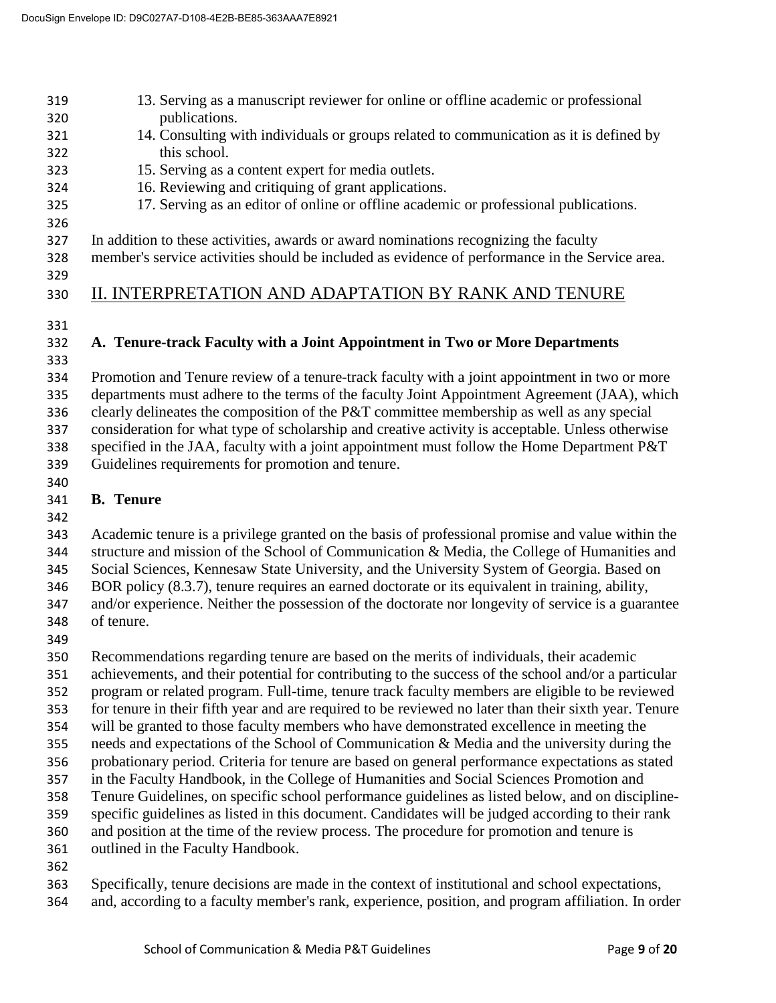#### 13. Serving as a manuscript reviewer for online or offline academic or professional publications. 14. Consulting with individuals or groups related to communication as it is defined by this school.

- 15. Serving as a content expert for media outlets.
- 16. Reviewing and critiquing of grant applications.
- 17. Serving as an editor of online or offline academic or professional publications.
- 
- In addition to these activities, awards or award nominations recognizing the faculty

member's service activities should be included as evidence of performance in the Service area.

# II. INTERPRETATION AND ADAPTATION BY RANK AND TENURE

# **A. Tenure-track Faculty with a Joint Appointment in Two or More Departments**

 Promotion and Tenure review of a tenure-track faculty with a joint appointment in two or more departments must adhere to the terms of the faculty Joint Appointment Agreement (JAA), which clearly delineates the composition of the P&T committee membership as well as any special consideration for what type of scholarship and creative activity is acceptable. Unless otherwise specified in the JAA, faculty with a joint appointment must follow the Home Department P&T Guidelines requirements for promotion and tenure.

#### **B. Tenure**

 Academic tenure is a privilege granted on the basis of professional promise and value within the structure and mission of the School of Communication & Media, the College of Humanities and Social Sciences, Kennesaw State University, and the University System of Georgia. Based on BOR policy (8.3.7), tenure requires an earned doctorate or its equivalent in training, ability, and/or experience. Neither the possession of the doctorate nor longevity of service is a guarantee of tenure.

 Recommendations regarding tenure are based on the merits of individuals, their academic achievements, and their potential for contributing to the success of the school and/or a particular

program or related program. Full-time, tenure track faculty members are eligible to be reviewed

for tenure in their fifth year and are required to be reviewed no later than their sixth year. Tenure

- will be granted to those faculty members who have demonstrated excellence in meeting the
- needs and expectations of the School of Communication & Media and the university during the
- probationary period. Criteria for tenure are based on general performance expectations as stated
- in the Faculty Handbook, in the College of Humanities and Social Sciences Promotion and Tenure Guidelines, on specific school performance guidelines as listed below, and on discipline-
- specific guidelines as listed in this document. Candidates will be judged according to their rank
- and position at the time of the review process. The procedure for promotion and tenure is
- outlined in the Faculty Handbook.
- 
- Specifically, tenure decisions are made in the context of institutional and school expectations,
- and, according to a faculty member's rank, experience, position, and program affiliation. In order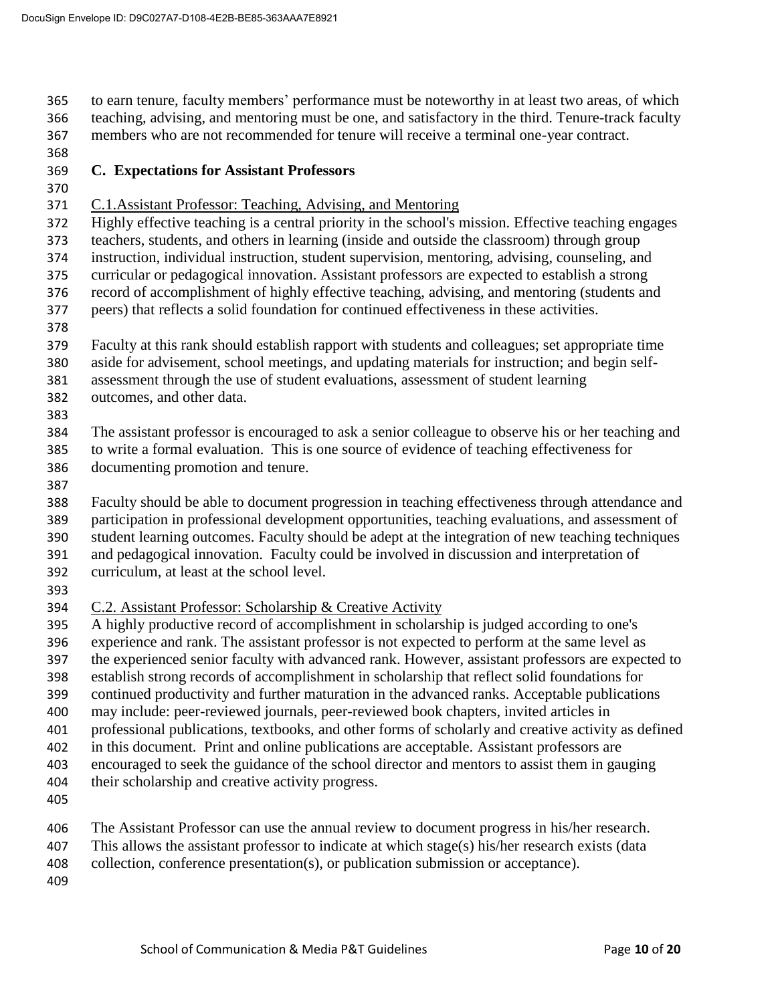to earn tenure, faculty members' performance must be noteworthy in at least two areas, of which teaching, advising, and mentoring must be one, and satisfactory in the third. Tenure-track faculty members who are not recommended for tenure will receive a terminal one-year contract.

## **C. Expectations for Assistant Professors**

- 
- C.1.Assistant Professor: Teaching, Advising, and Mentoring
- Highly effective teaching is a central priority in the school's mission. Effective teaching engages
- teachers, students, and others in learning (inside and outside the classroom) through group
- instruction, individual instruction, student supervision, mentoring, advising, counseling, and
- curricular or pedagogical innovation. Assistant professors are expected to establish a strong record of accomplishment of highly effective teaching, advising, and mentoring (students and
- peers) that reflects a solid foundation for continued effectiveness in these activities.
- 
- Faculty at this rank should establish rapport with students and colleagues; set appropriate time
- aside for advisement, school meetings, and updating materials for instruction; and begin self-
- assessment through the use of student evaluations, assessment of student learning
- outcomes, and other data.
- 

 The assistant professor is encouraged to ask a senior colleague to observe his or her teaching and to write a formal evaluation. This is one source of evidence of teaching effectiveness for documenting promotion and tenure.

Faculty should be able to document progression in teaching effectiveness through attendance and

- participation in professional development opportunities, teaching evaluations, and assessment of
- student learning outcomes. Faculty should be adept at the integration of new teaching techniques
- and pedagogical innovation. Faculty could be involved in discussion and interpretation of curriculum, at least at the school level.
- 
- 
- C.2. Assistant Professor: Scholarship & Creative Activity
- A highly productive record of accomplishment in scholarship is judged according to one's
- experience and rank. The assistant professor is not expected to perform at the same level as
- the experienced senior faculty with advanced rank. However, assistant professors are expected to
- establish strong records of accomplishment in scholarship that reflect solid foundations for
- continued productivity and further maturation in the advanced ranks. Acceptable publications
- may include: peer-reviewed journals, peer-reviewed book chapters, invited articles in
- professional publications, textbooks, and other forms of scholarly and creative activity as defined
- in this document. Print and online publications are acceptable. Assistant professors are
- encouraged to seek the guidance of the school director and mentors to assist them in gauging
- their scholarship and creative activity progress.
- 
- The Assistant Professor can use the annual review to document progress in his/her research.
- This allows the assistant professor to indicate at which stage(s) his/her research exists (data
- collection, conference presentation(s), or publication submission or acceptance).
-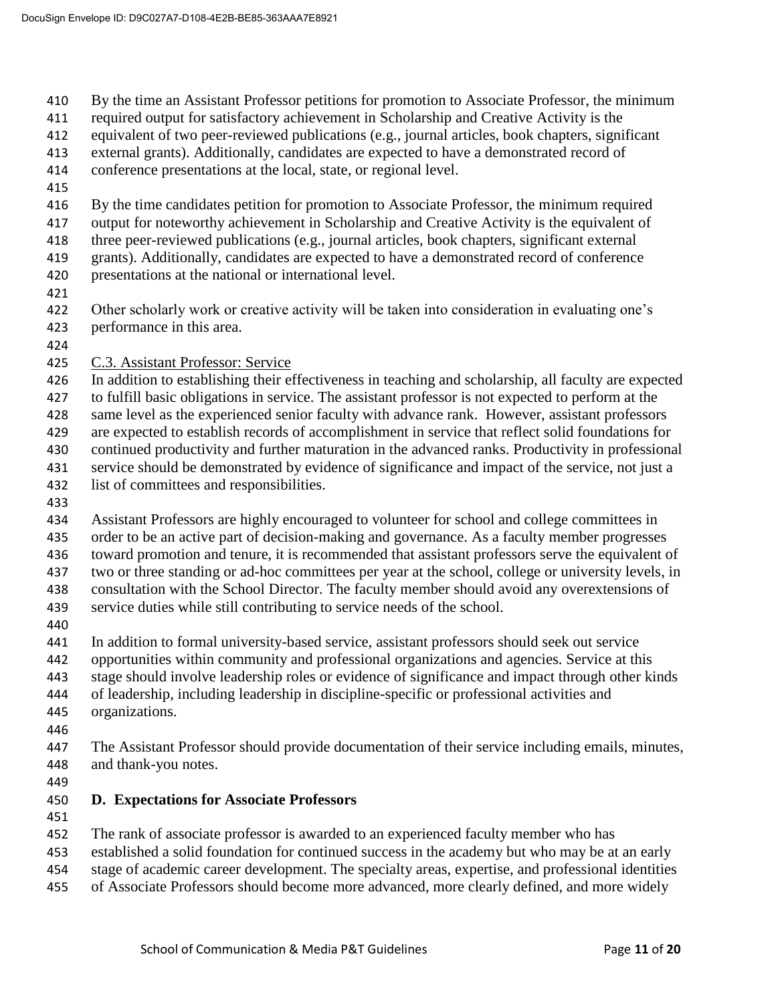By the time an Assistant Professor petitions for promotion to Associate Professor, the minimum

required output for satisfactory achievement in Scholarship and Creative Activity is the

equivalent of two peer-reviewed publications (e.g., journal articles, book chapters, significant

external grants). Additionally, candidates are expected to have a demonstrated record of

conference presentations at the local, state, or regional level.

By the time candidates petition for promotion to Associate Professor, the minimum required

output for noteworthy achievement in Scholarship and Creative Activity is the equivalent of

three peer-reviewed publications (e.g., journal articles, book chapters, significant external

grants). Additionally, candidates are expected to have a demonstrated record of conference

- presentations at the national or international level.
- 

 Other scholarly work or creative activity will be taken into consideration in evaluating one's performance in this area.

- 
- C.3. Assistant Professor: Service

In addition to establishing their effectiveness in teaching and scholarship, all faculty are expected

to fulfill basic obligations in service. The assistant professor is not expected to perform at the

same level as the experienced senior faculty with advance rank. However, assistant professors

are expected to establish records of accomplishment in service that reflect solid foundations for

 continued productivity and further maturation in the advanced ranks. Productivity in professional service should be demonstrated by evidence of significance and impact of the service, not just a

- list of committees and responsibilities.
- 

 Assistant Professors are highly encouraged to volunteer for school and college committees in order to be an active part of decision-making and governance. As a faculty member progresses toward promotion and tenure, it is recommended that assistant professors serve the equivalent of two or three standing or ad-hoc committees per year at the school, college or university levels, in consultation with the School Director. The faculty member should avoid any overextensions of service duties while still contributing to service needs of the school.

In addition to formal university-based service, assistant professors should seek out service

opportunities within community and professional organizations and agencies. Service at this

stage should involve leadership roles or evidence of significance and impact through other kinds

- of leadership, including leadership in discipline-specific or professional activities and
- organizations.
- 

 The Assistant Professor should provide documentation of their service including emails, minutes, and thank-you notes.

## **D. Expectations for Associate Professors**

The rank of associate professor is awarded to an experienced faculty member who has

established a solid foundation for continued success in the academy but who may be at an early

- stage of academic career development. The specialty areas, expertise, and professional identities
- of Associate Professors should become more advanced, more clearly defined, and more widely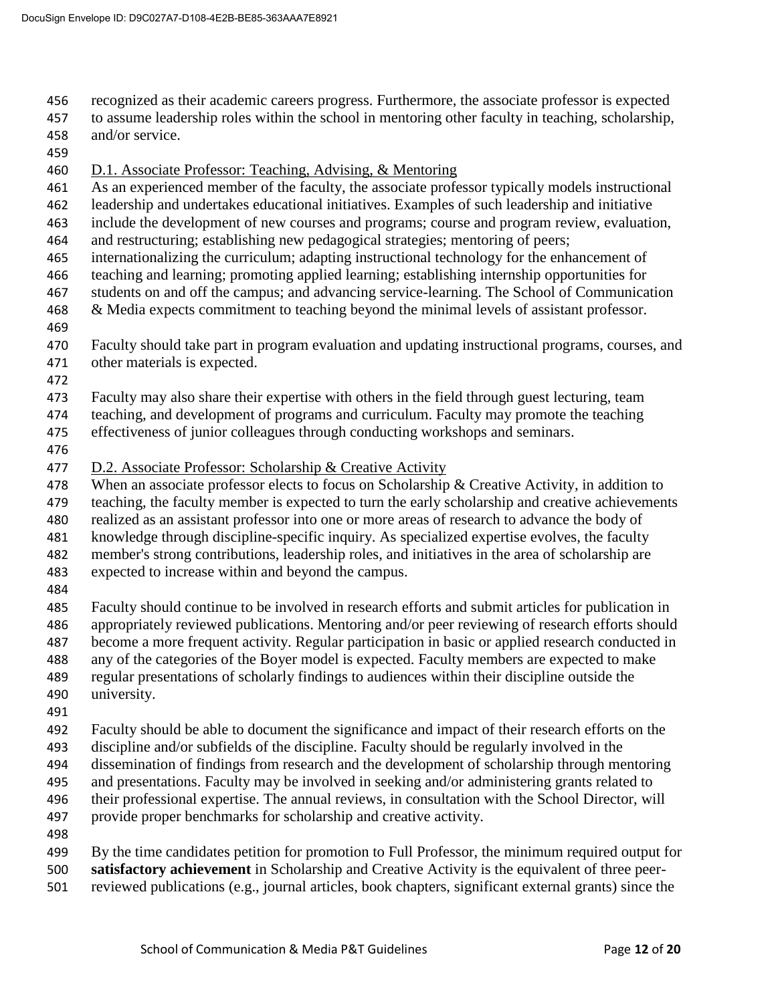- recognized as their academic careers progress. Furthermore, the associate professor is expected
- to assume leadership roles within the school in mentoring other faculty in teaching, scholarship, and/or service.
- 
- D.1. Associate Professor: Teaching, Advising, & Mentoring
- As an experienced member of the faculty, the associate professor typically models instructional
- leadership and undertakes educational initiatives. Examples of such leadership and initiative
- include the development of new courses and programs; course and program review, evaluation,
- and restructuring; establishing new pedagogical strategies; mentoring of peers;
- internationalizing the curriculum; adapting instructional technology for the enhancement of
- teaching and learning; promoting applied learning; establishing internship opportunities for
- students on and off the campus; and advancing service-learning. The School of Communication
- 468 & Media expects commitment to teaching beyond the minimal levels of assistant professor.
- 
- Faculty should take part in program evaluation and updating instructional programs, courses, and
- other materials is expected.
- 
- Faculty may also share their expertise with others in the field through guest lecturing, team
- teaching, and development of programs and curriculum. Faculty may promote the teaching
- effectiveness of junior colleagues through conducting workshops and seminars.
- 
- 477 D.2. Associate Professor: Scholarship & Creative Activity
- 478 When an associate professor elects to focus on Scholarship & Creative Activity, in addition to
- teaching, the faculty member is expected to turn the early scholarship and creative achievements
- realized as an assistant professor into one or more areas of research to advance the body of
- knowledge through discipline-specific inquiry. As specialized expertise evolves, the faculty
- member's strong contributions, leadership roles, and initiatives in the area of scholarship are
- expected to increase within and beyond the campus.
- 
- Faculty should continue to be involved in research efforts and submit articles for publication in appropriately reviewed publications. Mentoring and/or peer reviewing of research efforts should
- become a more frequent activity. Regular participation in basic or applied research conducted in
- any of the categories of the Boyer model is expected. Faculty members are expected to make
- regular presentations of scholarly findings to audiences within their discipline outside the
- university.
- 
- Faculty should be able to document the significance and impact of their research efforts on the
- discipline and/or subfields of the discipline. Faculty should be regularly involved in the
- dissemination of findings from research and the development of scholarship through mentoring
- and presentations. Faculty may be involved in seeking and/or administering grants related to
- their professional expertise. The annual reviews, in consultation with the School Director, will
- provide proper benchmarks for scholarship and creative activity.
- 
- By the time candidates petition for promotion to Full Professor, the minimum required output for **satisfactory achievement** in Scholarship and Creative Activity is the equivalent of three peer-
- reviewed publications (e.g., journal articles, book chapters, significant external grants) since the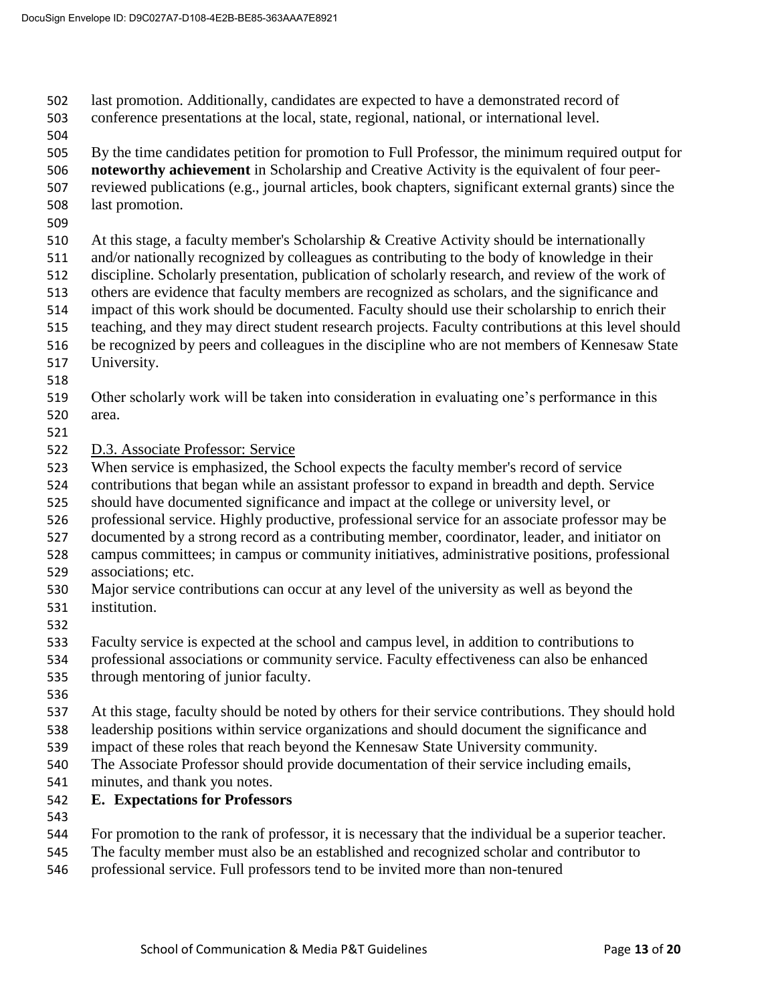last promotion. Additionally, candidates are expected to have a demonstrated record of

- conference presentations at the local, state, regional, national, or international level.
- 

 By the time candidates petition for promotion to Full Professor, the minimum required output for **noteworthy achievement** in Scholarship and Creative Activity is the equivalent of four peer- reviewed publications (e.g., journal articles, book chapters, significant external grants) since the last promotion.

At this stage, a faculty member's Scholarship & Creative Activity should be internationally

and/or nationally recognized by colleagues as contributing to the body of knowledge in their

discipline. Scholarly presentation, publication of scholarly research, and review of the work of

others are evidence that faculty members are recognized as scholars, and the significance and

 impact of this work should be documented. Faculty should use their scholarship to enrich their teaching, and they may direct student research projects. Faculty contributions at this level should

- be recognized by peers and colleagues in the discipline who are not members of Kennesaw State
- University.
- 
- Other scholarly work will be taken into consideration in evaluating one's performance in this area.
- 
- D.3. Associate Professor: Service
- When service is emphasized, the School expects the faculty member's record of service

contributions that began while an assistant professor to expand in breadth and depth. Service

- should have documented significance and impact at the college or university level, or
- professional service. Highly productive, professional service for an associate professor may be
- documented by a strong record as a contributing member, coordinator, leader, and initiator on
- campus committees; in campus or community initiatives, administrative positions, professional associations; etc.
- Major service contributions can occur at any level of the university as well as beyond the
- institution.
- Faculty service is expected at the school and campus level, in addition to contributions to
- professional associations or community service. Faculty effectiveness can also be enhanced
- through mentoring of junior faculty.
- 
- At this stage, faculty should be noted by others for their service contributions. They should hold leadership positions within service organizations and should document the significance and
- impact of these roles that reach beyond the Kennesaw State University community.
- The Associate Professor should provide documentation of their service including emails,
- minutes, and thank you notes.

# **E. Expectations for Professors**

- 
- For promotion to the rank of professor, it is necessary that the individual be a superior teacher.
- The faculty member must also be an established and recognized scholar and contributor to
- professional service. Full professors tend to be invited more than non-tenured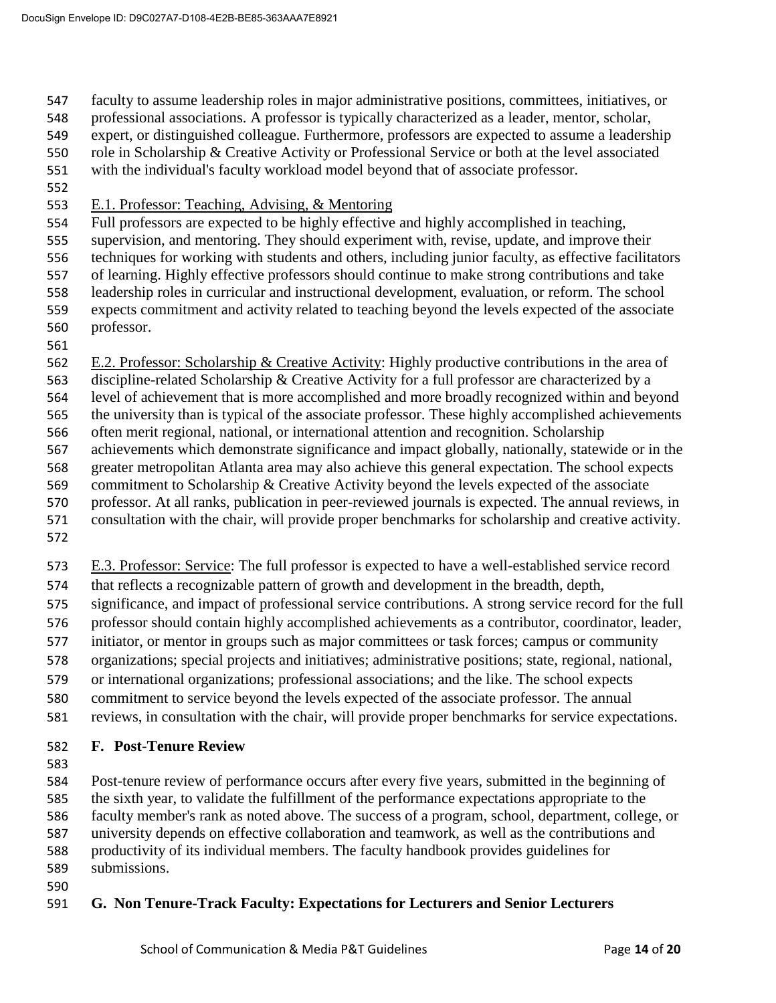faculty to assume leadership roles in major administrative positions, committees, initiatives, or

- professional associations. A professor is typically characterized as a leader, mentor, scholar,
- expert, or distinguished colleague. Furthermore, professors are expected to assume a leadership
- role in Scholarship & Creative Activity or Professional Service or both at the level associated
- with the individual's faculty workload model beyond that of associate professor.
- 
- E.1. Professor: Teaching, Advising, & Mentoring
- Full professors are expected to be highly effective and highly accomplished in teaching,
- supervision, and mentoring. They should experiment with, revise, update, and improve their
- techniques for working with students and others, including junior faculty, as effective facilitators
- of learning. Highly effective professors should continue to make strong contributions and take leadership roles in curricular and instructional development, evaluation, or reform. The school expects commitment and activity related to teaching beyond the levels expected of the associate
- professor.
- 
- E.2. Professor: Scholarship & Creative Activity: Highly productive contributions in the area of
- discipline-related Scholarship & Creative Activity for a full professor are characterized by a
- level of achievement that is more accomplished and more broadly recognized within and beyond
- the university than is typical of the associate professor. These highly accomplished achievements
- often merit regional, national, or international attention and recognition. Scholarship
- achievements which demonstrate significance and impact globally, nationally, statewide or in the
- greater metropolitan Atlanta area may also achieve this general expectation. The school expects
- commitment to Scholarship & Creative Activity beyond the levels expected of the associate professor. At all ranks, publication in peer-reviewed journals is expected. The annual reviews, in
- consultation with the chair, will provide proper benchmarks for scholarship and creative activity.
- 
- E.3. Professor: Service: The full professor is expected to have a well-established service record
- that reflects a recognizable pattern of growth and development in the breadth, depth,
- significance, and impact of professional service contributions. A strong service record for the full
- professor should contain highly accomplished achievements as a contributor, coordinator, leader,
- initiator, or mentor in groups such as major committees or task forces; campus or community
- organizations; special projects and initiatives; administrative positions; state, regional, national,
- or international organizations; professional associations; and the like. The school expects
- commitment to service beyond the levels expected of the associate professor. The annual
- reviews, in consultation with the chair, will provide proper benchmarks for service expectations.
- **F. Post-Tenure Review**
- 
- Post-tenure review of performance occurs after every five years, submitted in the beginning of the sixth year, to validate the fulfillment of the performance expectations appropriate to the faculty member's rank as noted above. The success of a program, school, department, college, or university depends on effective collaboration and teamwork, as well as the contributions and productivity of its individual members. The faculty handbook provides guidelines for submissions.
- 

# **G. Non Tenure-Track Faculty: Expectations for Lecturers and Senior Lecturers**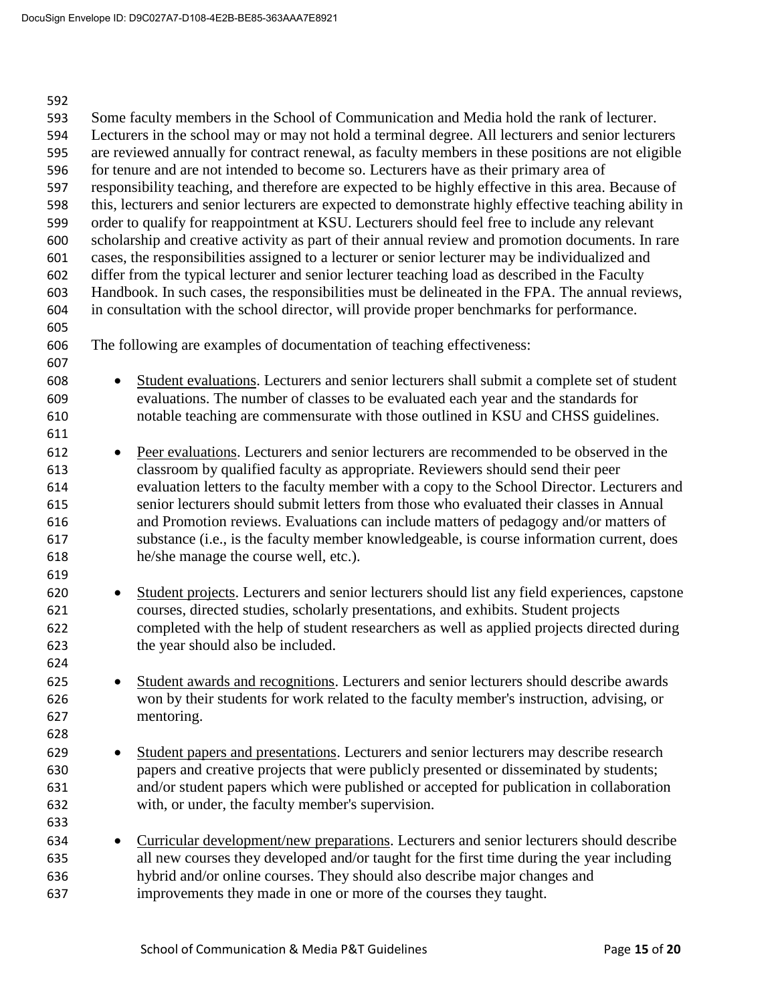| 592 |           |                                                                                                       |
|-----|-----------|-------------------------------------------------------------------------------------------------------|
| 593 |           | Some faculty members in the School of Communication and Media hold the rank of lecturer.              |
| 594 |           | Lecturers in the school may or may not hold a terminal degree. All lecturers and senior lecturers     |
| 595 |           | are reviewed annually for contract renewal, as faculty members in these positions are not eligible    |
| 596 |           | for tenure and are not intended to become so. Lecturers have as their primary area of                 |
| 597 |           | responsibility teaching, and therefore are expected to be highly effective in this area. Because of   |
| 598 |           | this, lecturers and senior lecturers are expected to demonstrate highly effective teaching ability in |
| 599 |           | order to qualify for reappointment at KSU. Lecturers should feel free to include any relevant         |
| 600 |           | scholarship and creative activity as part of their annual review and promotion documents. In rare     |
| 601 |           | cases, the responsibilities assigned to a lecturer or senior lecturer may be individualized and       |
| 602 |           | differ from the typical lecturer and senior lecturer teaching load as described in the Faculty        |
| 603 |           | Handbook. In such cases, the responsibilities must be delineated in the FPA. The annual reviews,      |
| 604 |           | in consultation with the school director, will provide proper benchmarks for performance.             |
| 605 |           |                                                                                                       |
| 606 |           | The following are examples of documentation of teaching effectiveness:                                |
| 607 |           |                                                                                                       |
| 608 | $\bullet$ | Student evaluations. Lecturers and senior lecturers shall submit a complete set of student            |
| 609 |           | evaluations. The number of classes to be evaluated each year and the standards for                    |
| 610 |           | notable teaching are commensurate with those outlined in KSU and CHSS guidelines.                     |
| 611 |           |                                                                                                       |
| 612 | $\bullet$ | Peer evaluations. Lecturers and senior lecturers are recommended to be observed in the                |
| 613 |           | classroom by qualified faculty as appropriate. Reviewers should send their peer                       |
| 614 |           | evaluation letters to the faculty member with a copy to the School Director. Lecturers and            |
| 615 |           | senior lecturers should submit letters from those who evaluated their classes in Annual               |
| 616 |           | and Promotion reviews. Evaluations can include matters of pedagogy and/or matters of                  |
| 617 |           | substance (i.e., is the faculty member knowledgeable, is course information current, does             |
| 618 |           | he/she manage the course well, etc.).                                                                 |
| 619 |           |                                                                                                       |
| 620 | $\bullet$ | Student projects. Lecturers and senior lecturers should list any field experiences, capstone          |
| 621 |           | courses, directed studies, scholarly presentations, and exhibits. Student projects                    |
| 622 |           | completed with the help of student researchers as well as applied projects directed during            |
| 623 |           | the year should also be included.                                                                     |
| 624 |           |                                                                                                       |
| 625 |           | Student awards and recognitions. Lecturers and senior lecturers should describe awards                |
| 626 |           | won by their students for work related to the faculty member's instruction, advising, or              |
| 627 |           | mentoring.                                                                                            |
| 628 |           |                                                                                                       |
| 629 | $\bullet$ | Student papers and presentations. Lecturers and senior lecturers may describe research                |
| 630 |           | papers and creative projects that were publicly presented or disseminated by students;                |
| 631 |           | and/or student papers which were published or accepted for publication in collaboration               |
| 632 |           | with, or under, the faculty member's supervision.                                                     |
| 633 |           |                                                                                                       |
| 634 | $\bullet$ | Curricular development/new preparations. Lecturers and senior lecturers should describe               |
| 635 |           | all new courses they developed and/or taught for the first time during the year including             |
| 636 |           | hybrid and/or online courses. They should also describe major changes and                             |
| 637 |           | improvements they made in one or more of the courses they taught.                                     |
|     |           |                                                                                                       |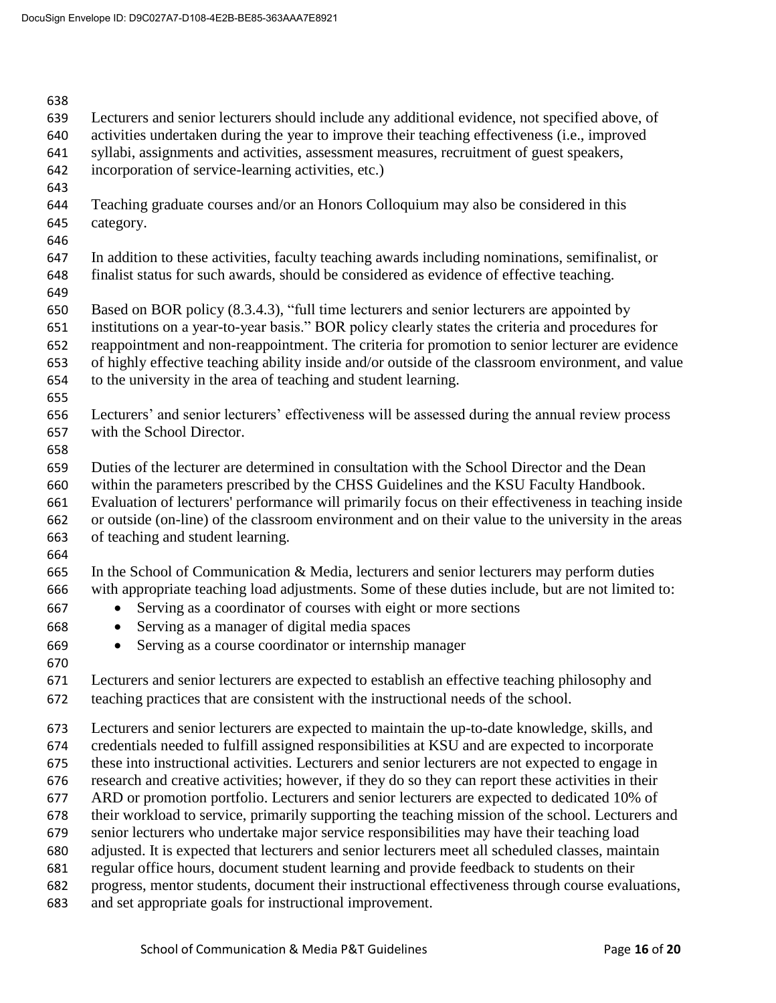| 638 |                                                                                                     |
|-----|-----------------------------------------------------------------------------------------------------|
| 639 | Lecturers and senior lecturers should include any additional evidence, not specified above, of      |
| 640 | activities undertaken during the year to improve their teaching effectiveness (i.e., improved       |
| 641 | syllabi, assignments and activities, assessment measures, recruitment of guest speakers,            |
| 642 | incorporation of service-learning activities, etc.)                                                 |
| 643 |                                                                                                     |
| 644 | Teaching graduate courses and/or an Honors Colloquium may also be considered in this                |
| 645 | category.                                                                                           |
| 646 |                                                                                                     |
| 647 | In addition to these activities, faculty teaching awards including nominations, semifinalist, or    |
|     |                                                                                                     |
| 648 | finalist status for such awards, should be considered as evidence of effective teaching.            |
| 649 |                                                                                                     |
| 650 | Based on BOR policy (8.3.4.3), "full time lecturers and senior lecturers are appointed by           |
| 651 | institutions on a year-to-year basis." BOR policy clearly states the criteria and procedures for    |
| 652 | reappointment and non-reappointment. The criteria for promotion to senior lecturer are evidence     |
| 653 | of highly effective teaching ability inside and/or outside of the classroom environment, and value  |
| 654 | to the university in the area of teaching and student learning.                                     |
| 655 |                                                                                                     |
| 656 | Lecturers' and senior lecturers' effectiveness will be assessed during the annual review process    |
| 657 | with the School Director.                                                                           |
| 658 |                                                                                                     |
| 659 | Duties of the lecturer are determined in consultation with the School Director and the Dean         |
|     |                                                                                                     |
| 660 | within the parameters prescribed by the CHSS Guidelines and the KSU Faculty Handbook.               |
| 661 | Evaluation of lecturers' performance will primarily focus on their effectiveness in teaching inside |
| 662 | or outside (on-line) of the classroom environment and on their value to the university in the areas |
| 663 | of teaching and student learning.                                                                   |
| 664 |                                                                                                     |
| 665 | In the School of Communication $\&$ Media, lecturers and senior lecturers may perform duties        |
| 666 | with appropriate teaching load adjustments. Some of these duties include, but are not limited to:   |
| 667 | Serving as a coordinator of courses with eight or more sections                                     |
| 668 | Serving as a manager of digital media spaces                                                        |
| 669 | Serving as a course coordinator or internship manager                                               |
|     |                                                                                                     |
| 670 |                                                                                                     |
| 671 | Lecturers and senior lecturers are expected to establish an effective teaching philosophy and       |
| 672 | teaching practices that are consistent with the instructional needs of the school.                  |
| 673 | Lecturers and senior lecturers are expected to maintain the up-to-date knowledge, skills, and       |
|     |                                                                                                     |
| 674 | credentials needed to fulfill assigned responsibilities at KSU and are expected to incorporate      |
| 675 | these into instructional activities. Lecturers and senior lecturers are not expected to engage in   |
| 676 | research and creative activities; however, if they do so they can report these activities in their  |
| 677 | ARD or promotion portfolio. Lecturers and senior lecturers are expected to dedicated 10% of         |
| 678 | their workload to service, primarily supporting the teaching mission of the school. Lecturers and   |
| 679 | senior lecturers who undertake major service responsibilities may have their teaching load          |
| 680 | adjusted. It is expected that lecturers and senior lecturers meet all scheduled classes, maintain   |
| 681 | regular office hours, document student learning and provide feedback to students on their           |
| 682 | progress, mentor students, document their instructional effectiveness through course evaluations,   |
| 683 | and set appropriate goals for instructional improvement.                                            |
|     |                                                                                                     |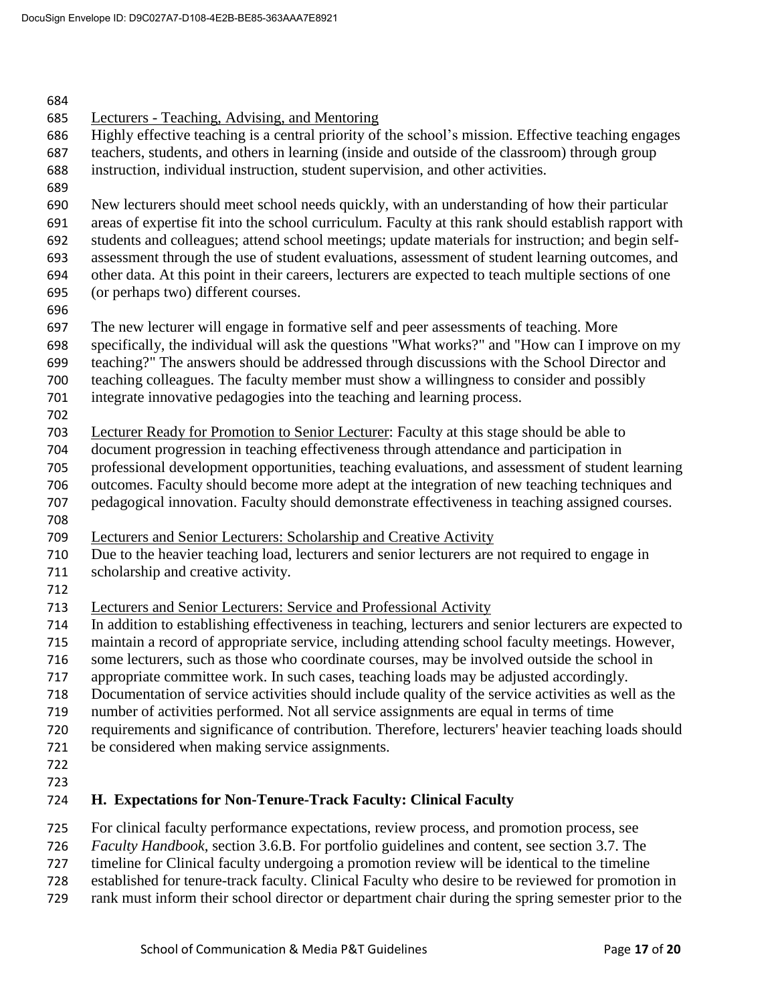| 684 |                                                                                                       |
|-----|-------------------------------------------------------------------------------------------------------|
| 685 | Lecturers - Teaching, Advising, and Mentoring                                                         |
| 686 | Highly effective teaching is a central priority of the school's mission. Effective teaching engages   |
| 687 | teachers, students, and others in learning (inside and outside of the classroom) through group        |
| 688 | instruction, individual instruction, student supervision, and other activities.                       |
| 689 |                                                                                                       |
| 690 | New lecturers should meet school needs quickly, with an understanding of how their particular         |
| 691 | areas of expertise fit into the school curriculum. Faculty at this rank should establish rapport with |
| 692 | students and colleagues; attend school meetings; update materials for instruction; and begin self-    |
| 693 | assessment through the use of student evaluations, assessment of student learning outcomes, and       |
| 694 | other data. At this point in their careers, lecturers are expected to teach multiple sections of one  |
| 695 | (or perhaps two) different courses.                                                                   |
| 696 |                                                                                                       |
| 697 | The new lecturer will engage in formative self and peer assessments of teaching. More                 |
| 698 | specifically, the individual will ask the questions "What works?" and "How can I improve on my        |
| 699 | teaching?" The answers should be addressed through discussions with the School Director and           |
|     | teaching colleagues. The faculty member must show a willingness to consider and possibly              |
| 700 |                                                                                                       |
| 701 | integrate innovative pedagogies into the teaching and learning process.                               |
| 702 |                                                                                                       |
| 703 | Lecturer Ready for Promotion to Senior Lecturer: Faculty at this stage should be able to              |
| 704 | document progression in teaching effectiveness through attendance and participation in                |
| 705 | professional development opportunities, teaching evaluations, and assessment of student learning      |
| 706 | outcomes. Faculty should become more adept at the integration of new teaching techniques and          |
| 707 | pedagogical innovation. Faculty should demonstrate effectiveness in teaching assigned courses.        |
| 708 |                                                                                                       |
| 709 | Lecturers and Senior Lecturers: Scholarship and Creative Activity                                     |
| 710 | Due to the heavier teaching load, lecturers and senior lecturers are not required to engage in        |
| 711 | scholarship and creative activity.                                                                    |
| 712 |                                                                                                       |
| 713 | <b>Lecturers and Senior Lecturers: Service and Professional Activity</b>                              |
| 714 | In addition to establishing effectiveness in teaching, lecturers and senior lecturers are expected to |
| 715 | maintain a record of appropriate service, including attending school faculty meetings. However,       |
| 716 | some lecturers, such as those who coordinate courses, may be involved outside the school in           |
| 717 | appropriate committee work. In such cases, teaching loads may be adjusted accordingly.                |
| 718 | Documentation of service activities should include quality of the service activities as well as the   |
| 719 | number of activities performed. Not all service assignments are equal in terms of time                |
| 720 | requirements and significance of contribution. Therefore, lecturers' heavier teaching loads should    |
| 721 | be considered when making service assignments.                                                        |
| 722 |                                                                                                       |
| 723 |                                                                                                       |
| 724 | H. Expectations for Non-Tenure-Track Faculty: Clinical Faculty                                        |
| 725 | For clinical faculty performance expectations, review process, and promotion process, see             |
| 726 | Faculty Handbook, section 3.6.B. For portfolio guidelines and content, see section 3.7. The           |
| 727 | timeline for Clinical faculty undergoing a promotion review will be identical to the timeline         |
| 730 | etablished for tenure treat feaulty. Clinical Equality who decime to be reviewed for reconstion in    |

 established for tenure-track faculty. Clinical Faculty who desire to be reviewed for promotion in rank must inform their school director or department chair during the spring semester prior to the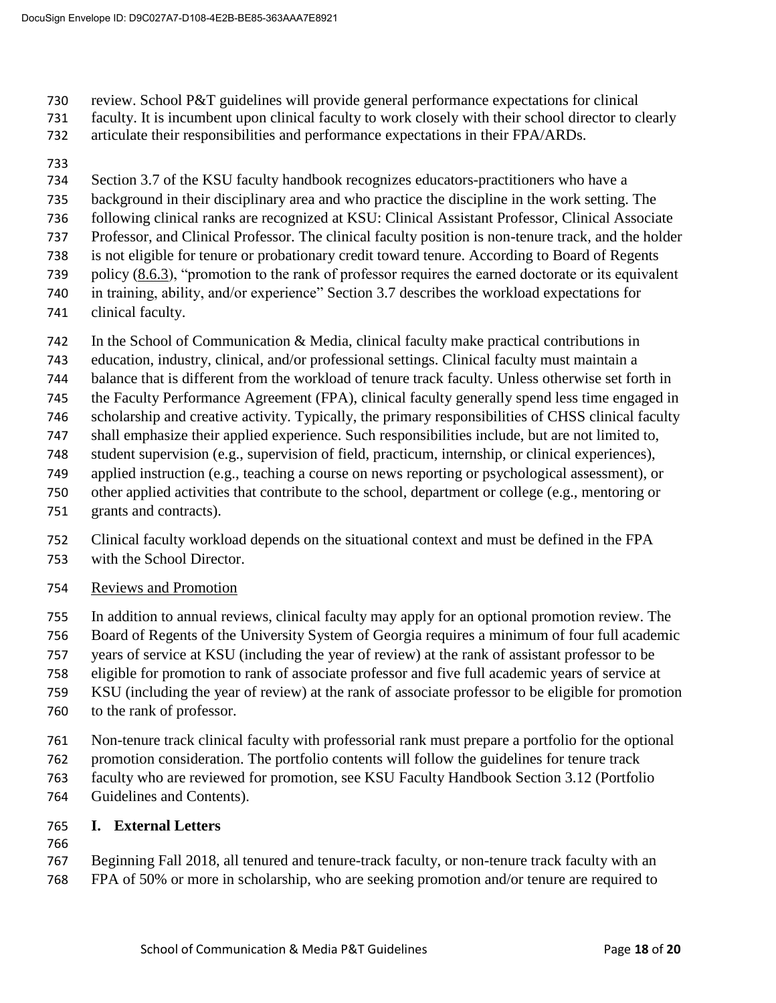- review. School P&T guidelines will provide general performance expectations for clinical
- faculty. It is incumbent upon clinical faculty to work closely with their school director to clearly
- articulate their responsibilities and performance expectations in their FPA/ARDs.
- 
- Section 3.7 of the KSU faculty handbook recognizes educators-practitioners who have a
- background in their disciplinary area and who practice the discipline in the work setting. The
- following clinical ranks are recognized at KSU: Clinical Assistant Professor, Clinical Associate
- Professor, and Clinical Professor. The clinical faculty position is non-tenure track, and the holder
- is not eligible for tenure or probationary credit toward tenure. According to Board of Regents policy [\(8.6.3\)](http://www.usg.edu/policymanual/section8/policy/C245/#p8.3.6_criteria_for_promotion), "promotion to the rank of professor requires the earned doctorate or its equivalent
- in training, ability, and/or experience" Section 3.7 describes the workload expectations for
- clinical faculty.
- In the School of Communication & Media, clinical faculty make practical contributions in
- education, industry, clinical, and/or professional settings. Clinical faculty must maintain a
- balance that is different from the workload of tenure track faculty. Unless otherwise set forth in
- the Faculty Performance Agreement (FPA), clinical faculty generally spend less time engaged in
- scholarship and creative activity. Typically, the primary responsibilities of CHSS clinical faculty
- shall emphasize their applied experience. Such responsibilities include, but are not limited to,
- student supervision (e.g., supervision of field, practicum, internship, or clinical experiences),
- applied instruction (e.g., teaching a course on news reporting or psychological assessment), or
- other applied activities that contribute to the school, department or college (e.g., mentoring or
- grants and contracts).
- Clinical faculty workload depends on the situational context and must be defined in the FPA
- with the School Director.
- Reviews and Promotion
- In addition to annual reviews, clinical faculty may apply for an optional promotion review. The
- Board of Regents of the University System of Georgia requires a minimum of four full academic
- years of service at KSU (including the year of review) at the rank of assistant professor to be
- eligible for promotion to rank of associate professor and five full academic years of service at
- KSU (including the year of review) at the rank of associate professor to be eligible for promotion
- to the rank of professor.
- Non-tenure track clinical faculty with professorial rank must prepare a portfolio for the optional
- promotion consideration. The portfolio contents will follow the guidelines for tenure track
- faculty who are reviewed for promotion, see KSU Faculty Handbook Section 3.12 (Portfolio
- Guidelines and Contents).
- **I. External Letters**
- 
- Beginning Fall 2018, all tenured and tenure-track faculty, or non-tenure track faculty with an FPA of 50% or more in scholarship, who are seeking promotion and/or tenure are required to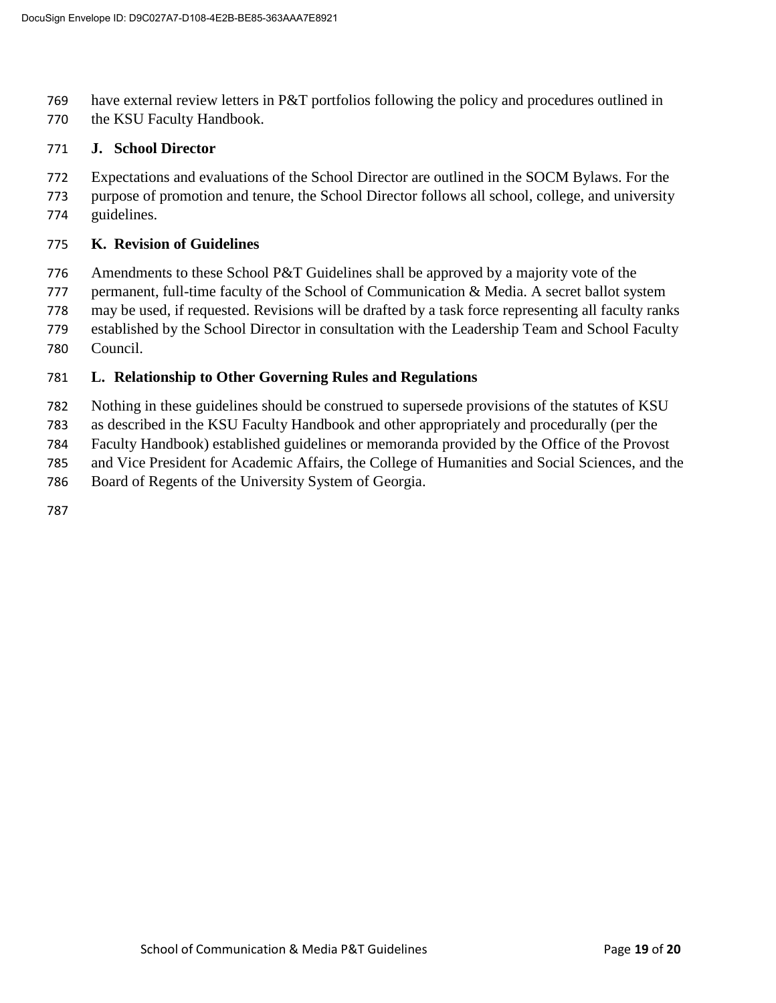have external review letters in P&T portfolios following the policy and procedures outlined in

the KSU Faculty Handbook.

## **J. School Director**

- Expectations and evaluations of the School Director are outlined in the SOCM Bylaws. For the
- purpose of promotion and tenure, the School Director follows all school, college, and university guidelines.

#### **K. Revision of Guidelines**

- Amendments to these School P&T Guidelines shall be approved by a majority vote of the
- permanent, full-time faculty of the School of Communication & Media. A secret ballot system
- may be used, if requested. Revisions will be drafted by a task force representing all faculty ranks
- established by the School Director in consultation with the Leadership Team and School Faculty
- Council.

#### **L. Relationship to Other Governing Rules and Regulations**

- Nothing in these guidelines should be construed to supersede provisions of the statutes of KSU
- as described in the KSU Faculty Handbook and other appropriately and procedurally (per the
- Faculty Handbook) established guidelines or memoranda provided by the Office of the Provost
- and Vice President for Academic Affairs, the College of Humanities and Social Sciences, and the
- Board of Regents of the University System of Georgia.